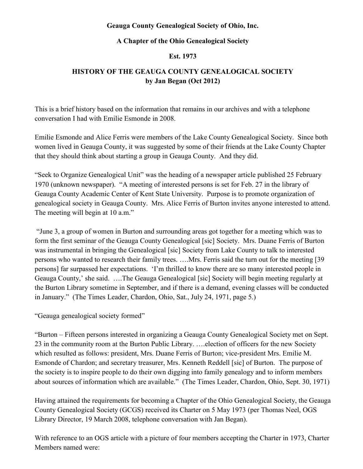## **Geauga County Genealogical Society of Ohio, Inc.**

## **A Chapter of the Ohio Genealogical Society**

## **Est. 1973**

## **HISTORY OF THE GEAUGA COUNTY GENEALOGICAL SOCIETY by Jan Began (Oct 2012)**

This is a brief history based on the information that remains in our archives and with a telephone conversation I had with Emilie Esmonde in 2008.

Emilie Esmonde and Alice Ferris were members of the Lake County Genealogical Society. Since both women lived in Geauga County, it was suggested by some of their friends at the Lake County Chapter that they should think about starting a group in Geauga County. And they did.

"Seek to Organize Genealogical Unit" was the heading of a newspaper article published 25 February 1970 (unknown newspaper). "A meeting of interested persons is set for Feb. 27 in the library of Geauga County Academic Center of Kent State University. Purpose is to promote organization of genealogical society in Geauga County. Mrs. Alice Ferris of Burton invites anyone interested to attend. The meeting will begin at 10 a.m."

"June 3, a group of women in Burton and surrounding areas got together for a meeting which was to form the first seminar of the Geauga County Genealogical [sic] Society. Mrs. Duane Ferris of Burton was instrumental in bringing the Genealogical [sic] Society from Lake County to talk to interested persons who wanted to research their family trees. ….Mrs. Ferris said the turn out for the meeting [39 persons] far surpassed her expectations. 'I'm thrilled to know there are so many interested people in Geauga County,' she said. ….The Geauga Genealogical [sic] Society will begin meeting regularly at the Burton Library sometime in September, and if there is a demand, evening classes will be conducted in January." (The Times Leader, Chardon, Ohio, Sat., July 24, 1971, page 5.)

"Geauga genealogical society formed"

"Burton – Fifteen persons interested in organizing a Geauga County Genealogical Society met on Sept. 23 in the community room at the Burton Public Library. ….election of officers for the new Society which resulted as follows: president, Mrs. Duane Ferris of Burton; vice-president Mrs. Emilie M. Esmonde of Chardon; and secretary treasurer, Mrs. Kenneth Reddell [sic] of Burton. The purpose of the society is to inspire people to do their own digging into family genealogy and to inform members about sources of information which are available." (The Times Leader, Chardon, Ohio, Sept. 30, 1971)

Having attained the requirements for becoming a Chapter of the Ohio Genealogical Society, the Geauga County Genealogical Society (GCGS) received its Charter on 5 May 1973 (per Thomas Neel, OGS Library Director, 19 March 2008, telephone conversation with Jan Began).

With reference to an OGS article with a picture of four members accepting the Charter in 1973, Charter Members named were: